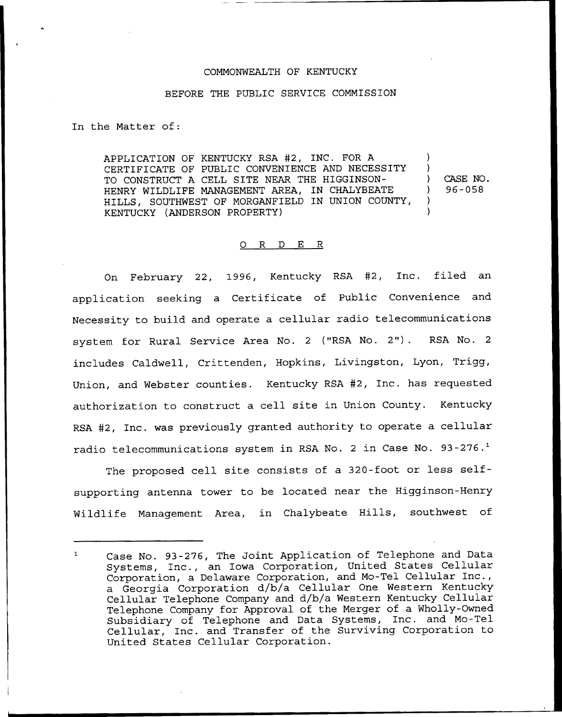## COMMONWEALTH OF KENTUCKY

## BEFORE THE PUBLIC SERVICE COMMISSION

In the Matter of:

APPLICATION OF KENTUCKY RSA #2, INC. FOR A CERTIFICATE OF PUBLIC CONVENIENCE AND NECESSITY TO CONSTRUCT A CELL SITE NEAR THE HIGGINSON-HENRY WILDLIFE MANAGEMENT AREA, IN CHALYBEATE HILLS, SOUTHWEST OF MORGANFIELD IN UNION COUNTY, KENTUCKY (ANDERSON PROPERTY) ) ) ) CASE NO.<br>
1 96-058 ) 96-05S ) )

## 0 R <sup>D</sup> E R

On February 22, 1996, Kentucky RSA #2, Inc. filed an application seeking a Certificate of Public Convenience and Necessity to build and operate a cellular radio telecommunications system for Rural Service Area No. <sup>2</sup> ("RSA No. 2"). RSA No. <sup>2</sup> includes Caldwell, Crittenden, Hopkins, Livingston, Lyon, Trigg, Union, and Webster counties. Kentucky RSA 42, Inc. has requested authorization to construct a cell site in Union County. Kentucky RSA #2, Inc. was previously granted authority to operate a cellular radio telecommunications system in RSA No. 2 in Case No. 93-276.<sup>1</sup>

The proposed cell site consists of a 320-foot or less selfsupporting antenna tower to be located near the Higginson-Henry Wildlife Management Area, in Chalybeate Hills, southwest of

Case No. 93-276, The Joint Application of Telephone and Data  $\mathbf{1}$ Systems, Inc., an Iowa Corporation, United States Cellular Corporation, a Delaware Corporation, and Mo-Tel Cellular Inc., a Georgia Corporation d/b/a Cellular One Western Kentucky Cellular Telephone Company and d/b/a Western Kentucky Cellular Telephone Company for Approval of the Merger of a Wholly-Owned Subsidiary of Telephone and Data Systems, Inc. and Mo-Tel Cellular, Inc. and Transfer of the Surviving Corporation to United States Cellular Corporation.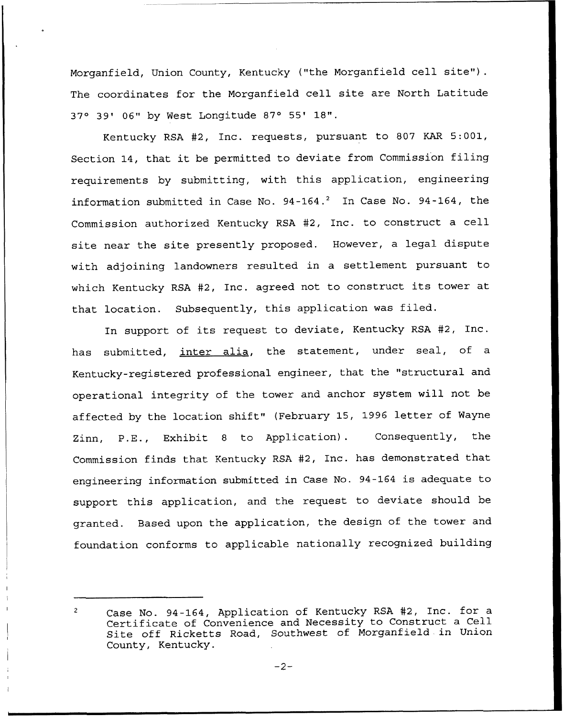Morganfield, Union County, Kentucky ("the Morganfield cell site"). The coordinates for the Morganfield cell site are North Latitude 37° 39' 06" by West Longitude 87° 55' 18".

Kentucky RSA #2, Inc. requests, pursuant to 807 KAR 5:001, Section 14, that it be permitted to deviate from Commission filing requirements by submitting, with this application, engineering information submitted in Case No. 94-164.<sup>2</sup> In Case No. 94-164, the Commission authorized Kentucky RSA #2, Inc. to construct a cell site near the site presently proposed. However, a legal dispute with adjoining landowners resulted in a settlement pursuant to which Kentucky RSA #2, Inc. agreed not to construct its tower at that location. Subsequently, this application was filed.

In support of its request to deviate, Kentucky RSA #2, Inc. has submitted, inter alia, the statement, under seal, of a Kentucky-registered professional engineer, that the "structural and operational integrity of the tower and anchor system will not be affected by the location shift" (February 15, 1996 letter of Wayne Zinn, P.E., Exhibit <sup>8</sup> to Application). Consequently, the Commission finds that Kentucky RSA #2, Inc. has demonstrated that engineering information submitted in Case No. 94-164 is adequate to support this application, and the request to deviate should be granted. Based upon the application, the design of the tower and foundation conforms to applicable nationally recognized building

Case No. 94-164, Application of Kentucky RSA #2, Inc. for a  $\overline{2}$ Certificate of Convenience and Necessity to Construct a Cell Site off Ricketts Road, Southwest of Morganfield in Union County, Kentucky.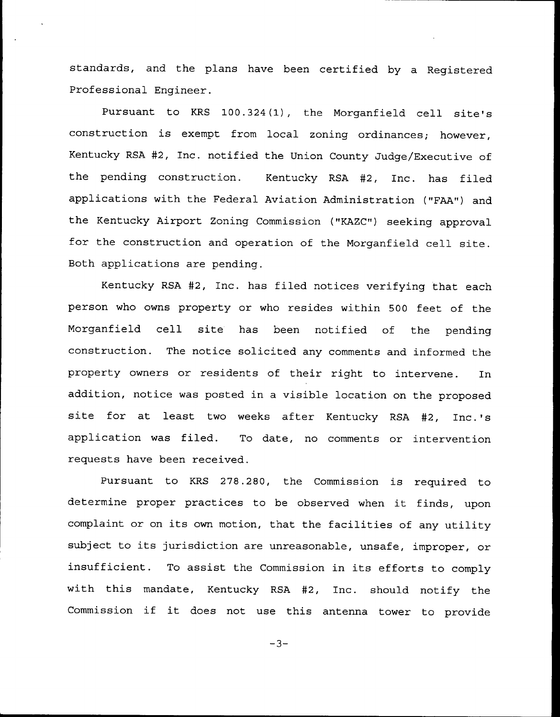standards, and the plans have been certified by a Registered Professional Engineer.

Pursuant to KRS 100.324(1), the Morganfield cell site's construction is exempt from local zoning ordinances; however, Kentucky RSA #2, Inc. notified the Union County Judge/Executive of the pending construction. Kentucky RSA #2, Inc. has filed applications with the Federal Aviation Administration ("FAA") and the Kentucky Airport Zoning Commission ("KAZC") seeking approval for the construction and operation of the Morganfield cell site. Both applications are pending.

Kentucky RSA #2, Inc. has filed notices verifying that each person who owns property or who resides within 500 feet of the Morganfield cell site has been notified of the pending construction. The notice solicited any comments and. informed the property owners or residents of their right to intervene. In addition, notice was posted in a visible location on the proposed site for at least two weeks after Kentucky RSA #2, Inc.'s application was filed. To date, no comments or intervention requests have been received.

Pursuant to KRS 278.280, the Commission is required to determine proper practices to be observed when it finds, upon complaint or on its own motion, that the facilities of any utility subject to its jurisdiction are unreasonable, unsafe, improper, or insufficient. To assist the Commission in its efforts to comply with this mandate, Kentucky RSA #2, Inc. should notify the Commission if it does not use this antenna tower to provide

 $-3-$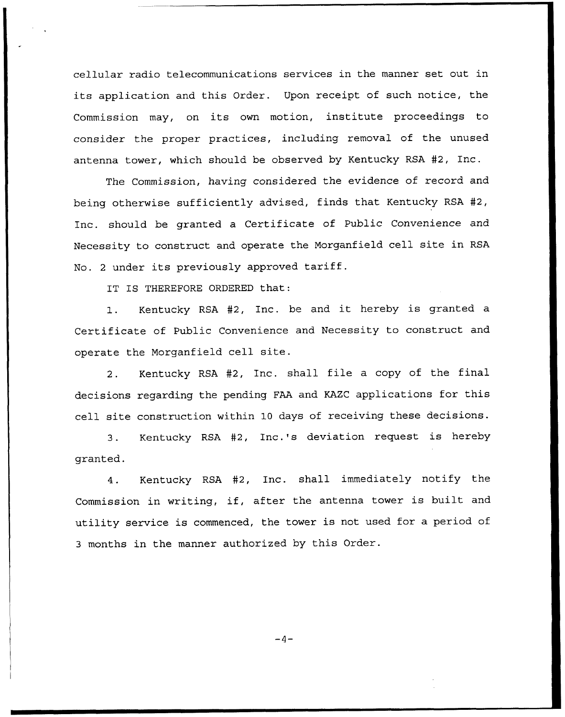cellular radio telecommunications services in the manner set out in its application and this Order. Upon receipt of such notice, the Commission may, on its own motion, institute proceedings to consider the proper practices, including removal of the unused antenna tower, which should be observed by Kentucky RSA #2, Inc.

The Commission, having considered the evidence of record and being otherwise sufficiently advised, finds that Kentucky RSA 42, Inc. should be granted a Certificate of Public Convenience and Necessity to construct and operate the Morganfield cell site in RSA No. <sup>2</sup> under its previously approved tariff.

IT IS THEREFORE ORDERED that:

1. Kentucky RSA 42, Inc. be and it hereby is granted <sup>a</sup> Certificate of Public Convenience and Necessity to construct and operate the Morganfield cell site.

2. Kentucky RSA #2, Inc. shall file a copy of the final decisions regarding the pending FAA and KAZC applications for this cell site construction within 10 days of receiving these decisions.

3. Kentucky RSA #2, Inc.'s deviation request is hereby granted.

4. Kentucky RSA #2, Inc. shall immediately notify the Commission in writing, if, after the antenna tower is built and utility service is commenced, the tower is not used for a period of <sup>3</sup> months in the manner authorized by this Order.

 $-4-$